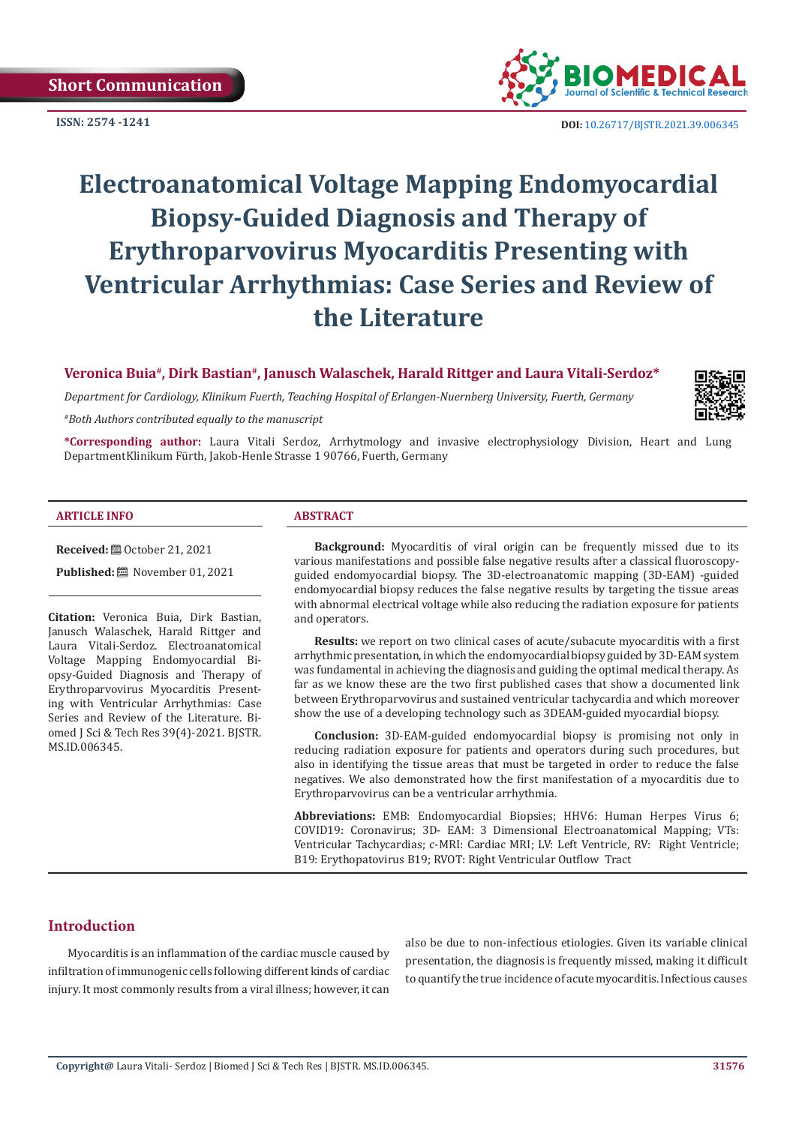**ISSN: 2574 -1241**



 **DOI:** [10.26717/BJSTR.2021.39.006345](https://dx.doi.org/10.26717/BJSTR.2021.39.006345)

# **Electroanatomical Voltage Mapping Endomyocardial Biopsy-Guided Diagnosis and Therapy of Erythroparvovirus Myocarditis Presenting with Ventricular Arrhythmias: Case Series and Review of the Literature**

**Veronica Buia#, Dirk Bastian#, Janusch Walaschek, Harald Rittger and Laura Vitali-Serdoz\***

*Department for Cardiology, Klinikum Fuerth, Teaching Hospital of Erlangen-Nuernberg University, Fuerth, Germany*

*#Both Authors contributed equally to the manuscript*

**\*Corresponding author:** Laura Vitali Serdoz, Arrhytmology and invasive electrophysiology Division, Heart and Lung DepartmentKlinikum Fürth, Jakob-Henle Strasse 1 90766, Fuerth, Germany

#### **ARTICLE INFO ABSTRACT**

**Received:** ■ October 21, 2021

**Published:** November 01, 2021

**Citation:** Veronica Buia, Dirk Bastian, Janusch Walaschek, Harald Rittger and Laura Vitali-Serdoz. Electroanatomical Voltage Mapping Endomyocardial Biopsy-Guided Diagnosis and Therapy of Erythroparvovirus Myocarditis Presenting with Ventricular Arrhythmias: Case Series and Review of the Literature. Biomed J Sci & Tech Res 39(4)-2021. BJSTR. MS.ID.006345.

**Background:** Myocarditis of viral origin can be frequently missed due to its various manifestations and possible false negative results after a classical fluoroscopyguided endomyocardial biopsy. The 3D-electroanatomic mapping (3D-EAM) -guided endomyocardial biopsy reduces the false negative results by targeting the tissue areas with abnormal electrical voltage while also reducing the radiation exposure for patients and operators.

**Results:** we report on two clinical cases of acute/subacute myocarditis with a first arrhythmic presentation, in which the endomyocardial biopsy guided by 3D-EAM system was fundamental in achieving the diagnosis and guiding the optimal medical therapy. As far as we know these are the two first published cases that show a documented link between Erythroparvovirus and sustained ventricular tachycardia and which moreover show the use of a developing technology such as 3DEAM-guided myocardial biopsy.

**Conclusion:** 3D-EAM-guided endomyocardial biopsy is promising not only in reducing radiation exposure for patients and operators during such procedures, but also in identifying the tissue areas that must be targeted in order to reduce the false negatives. We also demonstrated how the first manifestation of a myocarditis due to Erythroparvovirus can be a ventricular arrhythmia.

**Abbreviations:** EMB: Endomyocardial Biopsies; HHV6: Human Herpes Virus 6; COVID19: Coronavirus; 3D- EAM: 3 Dimensional Electroanatomical Mapping; VTs: Ventricular Tachycardias; c-MRI: Cardiac MRI; LV: Left Ventricle, RV: Right Ventricle; B19: Erythopatovirus B19; RVOT: Right Ventricular Outflow Tract

# **Introduction**

Myocarditis is an inflammation of the cardiac muscle caused by infiltration of immunogenic cells following different kinds of cardiac injury. It most commonly results from a viral illness; however, it can

also be due to non-infectious etiologies. Given its variable clinical presentation, the diagnosis is frequently missed, making it difficult to quantify the true incidence of acute myocarditis. Infectious causes

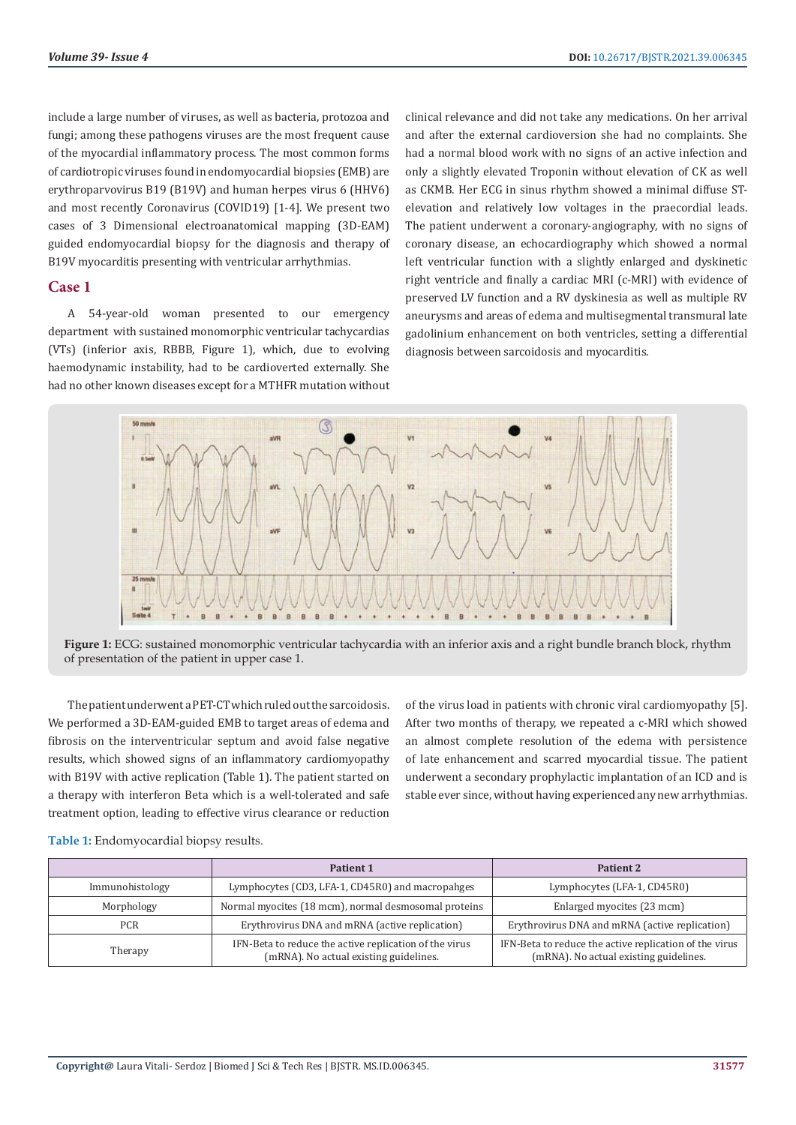include a large number of viruses, as well as bacteria, protozoa and fungi; among these pathogens viruses are the most frequent cause of the myocardial inflammatory process. The most common forms of cardiotropic viruses found in endomyocardial biopsies (EMB) are erythroparvovirus B19 (B19V) and human herpes virus 6 (HHV6) and most recently Coronavirus (COVID19) [1-4]. We present two cases of 3 Dimensional electroanatomical mapping (3D-EAM) guided endomyocardial biopsy for the diagnosis and therapy of B19V myocarditis presenting with ventricular arrhythmias.

## **Case 1**

A 54-year-old woman presented to our emergency department with sustained monomorphic ventricular tachycardias (VTs) (inferior axis, RBBB, Figure 1), which, due to evolving haemodynamic instability, had to be cardioverted externally. She had no other known diseases except for a MTHFR mutation without

clinical relevance and did not take any medications. On her arrival and after the external cardioversion she had no complaints. She had a normal blood work with no signs of an active infection and only a slightly elevated Troponin without elevation of CK as well as CKMB. Her ECG in sinus rhythm showed a minimal diffuse STelevation and relatively low voltages in the praecordial leads. The patient underwent a coronary-angiography, with no signs of coronary disease, an echocardiography which showed a normal left ventricular function with a slightly enlarged and dyskinetic right ventricle and finally a cardiac MRI (c-MRI) with evidence of preserved LV function and a RV dyskinesia as well as multiple RV aneurysms and areas of edema and multisegmental transmural late gadolinium enhancement on both ventricles, setting a differential diagnosis between sarcoidosis and myocarditis.



**Figure 1:** ECG: sustained monomorphic ventricular tachycardia with an inferior axis and a right bundle branch block, rhythm of presentation of the patient in upper case 1.

The patient underwent a PET-CT which ruled out the sarcoidosis. We performed a 3D-EAM-guided EMB to target areas of edema and fibrosis on the interventricular septum and avoid false negative results, which showed signs of an inflammatory cardiomyopathy with B19V with active replication (Table 1). The patient started on a therapy with interferon Beta which is a well-tolerated and safe treatment option, leading to effective virus clearance or reduction

of the virus load in patients with chronic viral cardiomyopathy [5]. After two months of therapy, we repeated a c-MRI which showed an almost complete resolution of the edema with persistence of late enhancement and scarred myocardial tissue. The patient underwent a secondary prophylactic implantation of an ICD and is stable ever since, without having experienced any new arrhythmias.

|                 | Patient 1                                                                                        | <b>Patient 2</b>                                                                                 |
|-----------------|--------------------------------------------------------------------------------------------------|--------------------------------------------------------------------------------------------------|
| Immunohistology | Lymphocytes (CD3, LFA-1, CD45R0) and macropahges                                                 | Lymphocytes (LFA-1, CD45R0)                                                                      |
| Morphology      | Normal myocites (18 mcm), normal desmosomal proteins                                             | Enlarged myocites (23 mcm)                                                                       |
| <b>PCR</b>      | Erythrovirus DNA and mRNA (active replication)                                                   | Erythrovirus DNA and mRNA (active replication)                                                   |
| Therapy         | IFN-Beta to reduce the active replication of the virus<br>(mRNA). No actual existing guidelines. | IFN-Beta to reduce the active replication of the virus<br>(mRNA). No actual existing guidelines. |

**Table 1:** Endomyocardial biopsy results.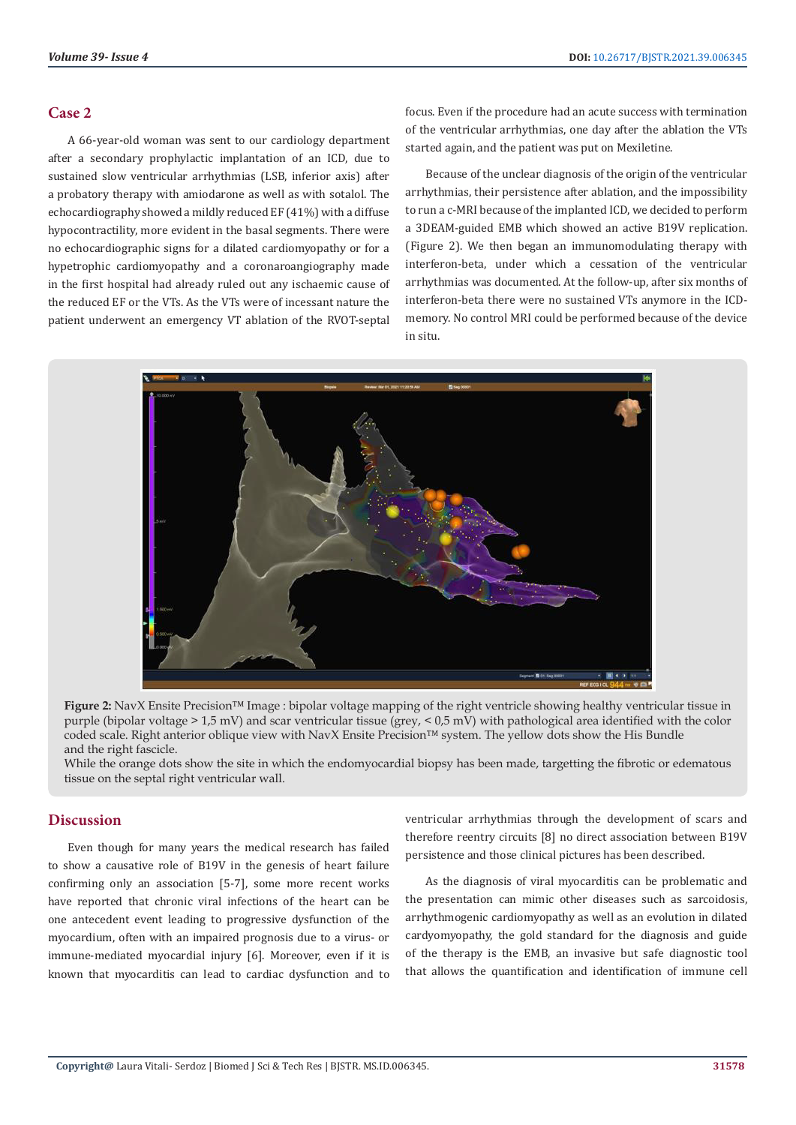# **Case 2**

A 66-year-old woman was sent to our cardiology department after a secondary prophylactic implantation of an ICD, due to sustained slow ventricular arrhythmias (LSB, inferior axis) after a probatory therapy with amiodarone as well as with sotalol. The echocardiography showed a mildly reduced EF (41%) with a diffuse hypocontractility, more evident in the basal segments. There were no echocardiographic signs for a dilated cardiomyopathy or for a hypetrophic cardiomyopathy and a coronaroangiography made in the first hospital had already ruled out any ischaemic cause of the reduced EF or the VTs. As the VTs were of incessant nature the patient underwent an emergency VT ablation of the RVOT-septal focus. Even if the procedure had an acute success with termination of the ventricular arrhythmias, one day after the ablation the VTs started again, and the patient was put on Mexiletine.

Because of the unclear diagnosis of the origin of the ventricular arrhythmias, their persistence after ablation, and the impossibility to run a c-MRI because of the implanted ICD, we decided to perform a 3DEAM-guided EMB which showed an active B19V replication. (Figure 2). We then began an immunomodulating therapy with interferon-beta, under which a cessation of the ventricular arrhythmias was documented. At the follow-up, after six months of interferon-beta there were no sustained VTs anymore in the ICDmemory. No control MRI could be performed because of the device in situ.



**Figure 2:** NavX Ensite Precision™ Image : bipolar voltage mapping of the right ventricle showing healthy ventricular tissue in purple (bipolar voltage > 1,5 mV) and scar ventricular tissue (grey, < 0,5 mV) with pathological area identified with the color coded scale. Right anterior oblique view with NavX Ensite Precision™ system. The yellow dots show the His Bundle and the right fascicle.

While the orange dots show the site in which the endomyocardial biopsy has been made, targetting the fibrotic or edematous tissue on the septal right ventricular wall.

# **Discussion**

Even though for many years the medical research has failed to show a causative role of B19V in the genesis of heart failure confirming only an association [5-7], some more recent works have reported that chronic viral infections of the heart can be one antecedent event leading to progressive dysfunction of the myocardium, often with an impaired prognosis due to a virus- or immune-mediated myocardial injury [6]. Moreover, even if it is known that myocarditis can lead to cardiac dysfunction and to

ventricular arrhythmias through the development of scars and therefore reentry circuits [8] no direct association between B19V persistence and those clinical pictures has been described.

As the diagnosis of viral myocarditis can be problematic and the presentation can mimic other diseases such as sarcoidosis, arrhythmogenic cardiomyopathy as well as an evolution in dilated cardyomyopathy, the gold standard for the diagnosis and guide of the therapy is the EMB, an invasive but safe diagnostic tool that allows the quantification and identification of immune cell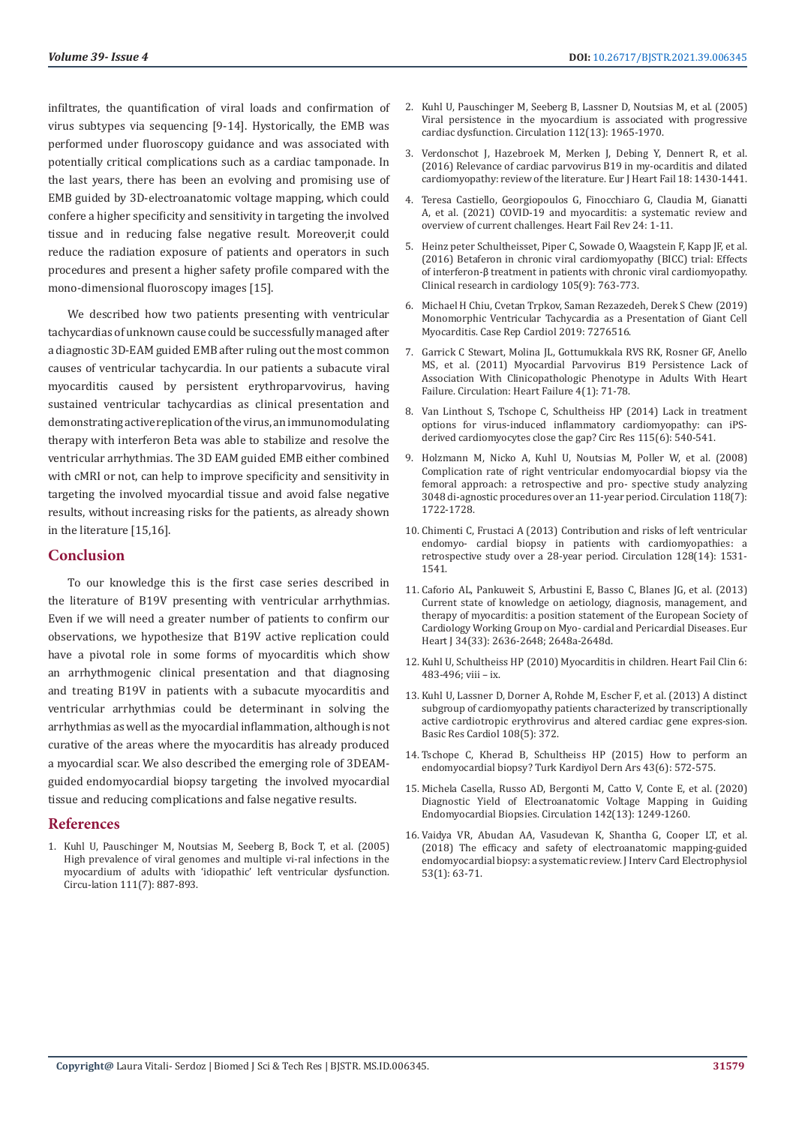**Volume 39- Issue 4 DOI: [10.26717/BJSTR.2021.39.006345](https://dx.doi.org/10.26717/BJSTR.2021.39.006345)** 

infiltrates, the quantification of viral loads and confirmation of virus subtypes via sequencing [9-14]. Hystorically, the EMB was performed under fluoroscopy guidance and was associated with potentially critical complications such as a cardiac tamponade. In the last years, there has been an evolving and promising use of EMB guided by 3D-electroanatomic voltage mapping, which could confere a higher specificity and sensitivity in targeting the involved tissue and in reducing false negative result. Moreover,it could reduce the radiation exposure of patients and operators in such procedures and present a higher safety profile compared with the mono-dimensional fluoroscopy images [15].

We described how two patients presenting with ventricular tachycardias of unknown cause could be successfully managed after a diagnostic 3D-EAM guided EMB after ruling out the most common causes of ventricular tachycardia. In our patients a subacute viral myocarditis caused by persistent erythroparvovirus, having sustained ventricular tachycardias as clinical presentation and demonstrating active replication of the virus, an immunomodulating therapy with interferon Beta was able to stabilize and resolve the ventricular arrhythmias. The 3D EAM guided EMB either combined with cMRI or not, can help to improve specificity and sensitivity in targeting the involved myocardial tissue and avoid false negative results, without increasing risks for the patients, as already shown in the literature [15,16].

#### **Conclusion**

To our knowledge this is the first case series described in the literature of B19V presenting with ventricular arrhythmias. Even if we will need a greater number of patients to confirm our observations, we hypothesize that B19V active replication could have a pivotal role in some forms of myocarditis which show an arrhythmogenic clinical presentation and that diagnosing and treating B19V in patients with a subacute myocarditis and ventricular arrhythmias could be determinant in solving the arrhythmias as well as the myocardial inflammation, although is not curative of the areas where the myocarditis has already produced a myocardial scar. We also described the emerging role of 3DEAMguided endomyocardial biopsy targeting the involved myocardial tissue and reducing complications and false negative results.

#### **References**

1. [Kuhl U, Pauschinger M, Noutsias M, Seeberg B, Bock T, et al. \(2005\)](https://pubmed.ncbi.nlm.nih.gov/15699250/)  [High prevalence of viral genomes and multiple vi-ral infections in the](https://pubmed.ncbi.nlm.nih.gov/15699250/)  [myocardium of adults with 'idiopathic' left ventricular dysfunction.](https://pubmed.ncbi.nlm.nih.gov/15699250/)  [Circu-lation 111\(7\): 887-893.](https://pubmed.ncbi.nlm.nih.gov/15699250/)

- 2. [Kuhl U, Pauschinger M, Seeberg B, Lassner D, Noutsias M, et al. \(2005\)](https://pubmed.ncbi.nlm.nih.gov/16172268/) [Viral persistence in the myocardium is associated with progressive](https://pubmed.ncbi.nlm.nih.gov/16172268/) [cardiac dysfunction. Circulation 112\(13\): 1965-1970.](https://pubmed.ncbi.nlm.nih.gov/16172268/)
- 3. [Verdonschot J, Hazebroek M, Merken J, Debing Y, Dennert R, et al.](https://pubmed.ncbi.nlm.nih.gov/27748022/) [\(2016\) Relevance of cardiac parvovirus B19 in my-ocarditis and dilated](https://pubmed.ncbi.nlm.nih.gov/27748022/) [cardiomyopathy: review of the literature. Eur J Heart Fail 18: 1430-1441.](https://pubmed.ncbi.nlm.nih.gov/27748022/)
- 4. [Teresa Castiello, Georgiopoulos G, Finocchiaro G, Claudia M, Gianatti](https://pubmed.ncbi.nlm.nih.gov/33761041/) [A, et al. \(2021\) COVID-19 and myocarditis: a systematic review and](https://pubmed.ncbi.nlm.nih.gov/33761041/) [overview of current challenges. Heart Fail Rev 24: 1-11.](https://pubmed.ncbi.nlm.nih.gov/33761041/)
- 5. [Heinz peter Schultheisset, Piper C, Sowade O, Waagstein F, Kapp JF, et al.](https://pubmed.ncbi.nlm.nih.gov/27112783/) [\(2016\) Betaferon in chronic viral cardiomyopathy \(BICC\) trial: Effects](https://pubmed.ncbi.nlm.nih.gov/27112783/) of interferon-β [treatment in patients with chronic viral cardiomyopathy.](https://pubmed.ncbi.nlm.nih.gov/27112783/) [Clinical research in cardiology 105\(9\): 763-773.](https://pubmed.ncbi.nlm.nih.gov/27112783/)
- 6. [Michael H Chiu, Cvetan Trpkov, Saman Rezazedeh, Derek S Chew \(2019\)](https://pubmed.ncbi.nlm.nih.gov/31321103/) [Monomorphic Ventricular Tachycardia as a Presentation of Giant Cell](https://pubmed.ncbi.nlm.nih.gov/31321103/) [Myocarditis. Case Rep Cardiol 2019: 7276516.](https://pubmed.ncbi.nlm.nih.gov/31321103/)
- 7. [Garrick C Stewart, Molina JL, Gottumukkala RVS RK, Rosner GF, Anello](https://pubmed.ncbi.nlm.nih.gov/21097605/) [MS, et al. \(2011\) Myocardial Parvovirus B19 Persistence Lack of](https://pubmed.ncbi.nlm.nih.gov/21097605/) [Association With Clinicopathologic Phenotype in Adults With Heart](https://pubmed.ncbi.nlm.nih.gov/21097605/) [Failure. Circulation: Heart Failure 4\(1\): 71-78.](https://pubmed.ncbi.nlm.nih.gov/21097605/)
- 8. [Van Linthout S, Tschope C, Schultheiss HP \(2014\) Lack in treatment](https://www.ahajournals.org/doi/10.1161/circresaha.114.304951) [options for virus-induced inflammatory cardiomyopathy: can iPS](https://www.ahajournals.org/doi/10.1161/circresaha.114.304951)[derived cardiomyocytes close the gap? Circ Res 115\(6\): 540-541.](https://www.ahajournals.org/doi/10.1161/circresaha.114.304951)
- 9. [Holzmann M, Nicko A, Kuhl U, Noutsias M, Poller W, et al. \(2008\)](https://pubmed.ncbi.nlm.nih.gov/18838566/) [Complication rate of right ventricular endomyocardial biopsy via the](https://pubmed.ncbi.nlm.nih.gov/18838566/) [femoral approach: a retrospective and pro- spective study analyzing](https://pubmed.ncbi.nlm.nih.gov/18838566/) [3048 di-agnostic procedures over an 11-year period. Circulation 118\(7\):](https://pubmed.ncbi.nlm.nih.gov/18838566/) [1722-1728.](https://pubmed.ncbi.nlm.nih.gov/18838566/)
- 10. [Chimenti C, Frustaci A \(2013\) Contribution and risks of left ventricular](https://www.researchgate.net/publication/256447396_Contribution_and_Risks_of_Left_Ventricular_Endomyocardial_Biopsy_in_Patients_With_Cardiomyopathies_A_Retrospective_Study_Over_a_28-Year_Period) [endomyo- cardial biopsy in patients with cardiomyopathies: a](https://www.researchgate.net/publication/256447396_Contribution_and_Risks_of_Left_Ventricular_Endomyocardial_Biopsy_in_Patients_With_Cardiomyopathies_A_Retrospective_Study_Over_a_28-Year_Period) [retrospective study over a 28-year period. Circulation 128\(14\): 1531-](https://www.researchgate.net/publication/256447396_Contribution_and_Risks_of_Left_Ventricular_Endomyocardial_Biopsy_in_Patients_With_Cardiomyopathies_A_Retrospective_Study_Over_a_28-Year_Period) [1541.](https://www.researchgate.net/publication/256447396_Contribution_and_Risks_of_Left_Ventricular_Endomyocardial_Biopsy_in_Patients_With_Cardiomyopathies_A_Retrospective_Study_Over_a_28-Year_Period)
- 11. [Caforio AL, Pankuweit S, Arbustini E, Basso C, Blanes JG, et al. \(2013\)](https://pubmed.ncbi.nlm.nih.gov/23824828/) [Current state of knowledge on aetiology, diagnosis, management, and](https://pubmed.ncbi.nlm.nih.gov/23824828/) [therapy of myocarditis: a position statement of the European Society of](https://pubmed.ncbi.nlm.nih.gov/23824828/) [Cardiology Working Group on Myo- cardial and Pericardial Diseases. Eur](https://pubmed.ncbi.nlm.nih.gov/23824828/) [Heart J 34\(33\): 2636-2648; 2648a-2648d.](https://pubmed.ncbi.nlm.nih.gov/23824828/)
- 12. Kuhl U, Schultheiss HP (2010) Myocarditis in children. Heart Fail Clin 6: 483-496; viii – ix.
- 13. [Kuhl U, Lassner D, Dorner A, Rohde M, Escher F, et al. \(2013\) A distinct](https://pubmed.ncbi.nlm.nih.gov/23934091/) [subgroup of cardiomyopathy patients characterized by transcriptionally](https://pubmed.ncbi.nlm.nih.gov/23934091/) [active cardiotropic erythrovirus and altered cardiac gene expres-sion.](https://pubmed.ncbi.nlm.nih.gov/23934091/) [Basic Res Cardiol 108\(5\): 372.](https://pubmed.ncbi.nlm.nih.gov/23934091/)
- 14. [Tschope C, Kherad B, Schultheiss HP \(2015\) How to perform an](https://pubmed.ncbi.nlm.nih.gov/26363754/) [endomyocardial biopsy? Turk Kardiyol Dern Ars 43\(6\): 572-575.](https://pubmed.ncbi.nlm.nih.gov/26363754/)
- 15. [Michela Casella, Russo AD, Bergonti M, Catto V, Conte E, et al. \(2020\)](https://www.ahajournals.org/doi/10.1161/CIRCULATIONAHA.120.046900) [Diagnostic Yield of Electroanatomic Voltage Mapping in Guiding](https://www.ahajournals.org/doi/10.1161/CIRCULATIONAHA.120.046900) [Endomyocardial Biopsies. Circulation 142\(13\): 1249-1260.](https://www.ahajournals.org/doi/10.1161/CIRCULATIONAHA.120.046900)
- 16. [Vaidya VR, Abudan AA, Vasudevan K, Shantha G, Cooper LT, et al.](https://pubmed.ncbi.nlm.nih.gov/30003460/) [\(2018\) The efficacy and safety of electroanatomic mapping-guided](https://pubmed.ncbi.nlm.nih.gov/30003460/) [endomyocardial biopsy: a systematic review. J Interv Card Electrophysiol](https://pubmed.ncbi.nlm.nih.gov/30003460/) [53\(1\): 63-71.](https://pubmed.ncbi.nlm.nih.gov/30003460/)